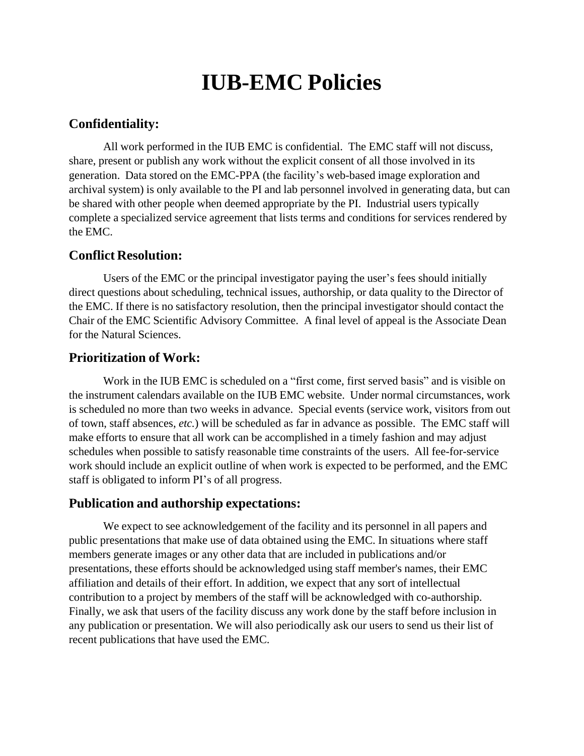# **IUB-EMC Policies**

## **Confidentiality:**

All work performed in the IUB EMC is confidential. The EMC staff will not discuss, share, present or publish any work without the explicit consent of all those involved in its generation. Data stored on the EMC-PPA (the facility's web-based image exploration and archival system) is only available to the PI and lab personnel involved in generating data, but can be shared with other people when deemed appropriate by the PI. Industrial users typically complete a specialized service agreement that lists terms and conditions for services rendered by the EMC.

#### **Conflict Resolution:**

Users of the EMC or the principal investigator paying the user's fees should initially direct questions about scheduling, technical issues, authorship, or data quality to the Director of the EMC. If there is no satisfactory resolution, then the principal investigator should contact the Chair of the EMC Scientific Advisory Committee. A final level of appeal is the Associate Dean for the Natural Sciences.

## **Prioritization of Work:**

Work in the IUB EMC is scheduled on a "first come, first served basis" and is visible on the instrument calendars available on the IUB EMC website. Under normal circumstances, work is scheduled no more than two weeks in advance. Special events (service work, visitors from out of town, staff absences, *etc.*) will be scheduled as far in advance as possible. The EMC staff will make efforts to ensure that all work can be accomplished in a timely fashion and may adjust schedules when possible to satisfy reasonable time constraints of the users. All fee-for-service work should include an explicit outline of when work is expected to be performed, and the EMC staff is obligated to inform PI's of all progress.

#### **Publication and authorship expectations:**

We expect to see acknowledgement of the facility and its personnel in all papers and public presentations that make use of data obtained using the EMC. In situations where staff members generate images or any other data that are included in publications and/or presentations, these efforts should be acknowledged using staff member's names, their EMC affiliation and details of their effort. In addition, we expect that any sort of intellectual contribution to a project by members of the staff will be acknowledged with co-authorship. Finally, we ask that users of the facility discuss any work done by the staff before inclusion in any publication or presentation. We will also periodically ask our users to send us their list of recent publications that have used the EMC.